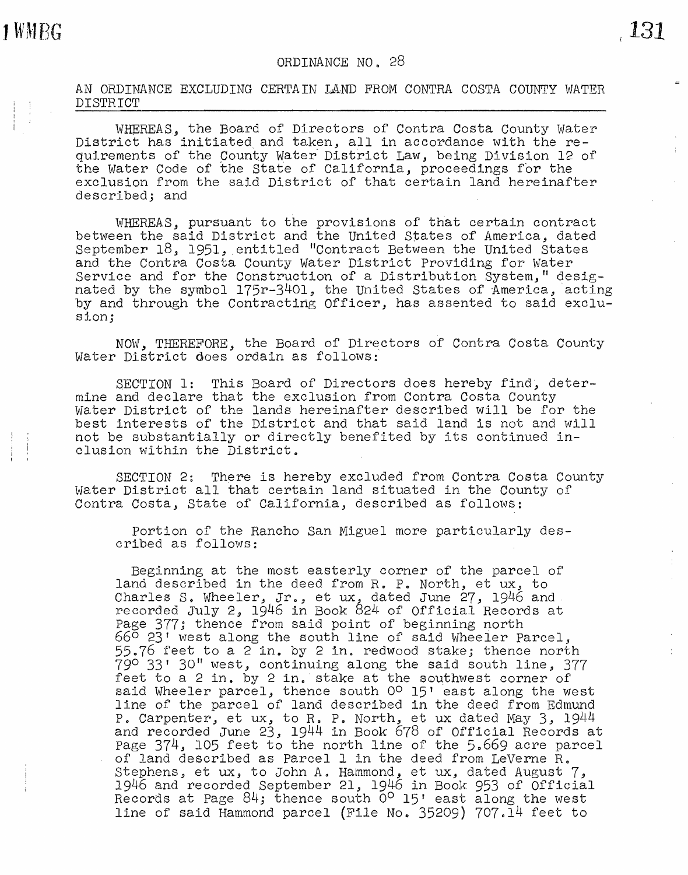AN ORDINANCE EXCLUDING CERTAIN *UND* FROM CONTRA COSTA COUNTY WATER DISTRICT

WHEREAS, the Board of Directors of Contra Costa County Water District has initiated and taken, all in accordance with the requirements of the County Water District Law, being Division 12 of the water Code of the State of California, proceedings for the exclusion from the said District of that certain land hereinafter described; and

WHEREAS., pursuant to the provisions of that certain contract between the said District and the United States of America, dated September 18, 1951, entitled "Contract Between the United States and the Contra Costa County water District Providing for water Service and for the Construction of a Distribution System," designated by the symbol  $175r-3401$ , the United States of America, acting by and through the Contracting Officer, has assented to said exclusion;

NOW, THEREFORE, the Board of Directors of Contra Costa County water District does ordain as follows:

SECTION 1: This Board of Directors does hereby find, determine and declare that the exclusion from Contra Costa County water District of the lands hereinafter described will be for the best interests of the District and that said land is not and will not be substantially or directly benefited by its continued inclusion within the District.

SECTION 2: There is hereby excluded from Contra Costa County water District all that certain land situated in the County of Contra Costa, State of California, described as follows:

Portion of the Rancho San Miguel more particularly described as follows:

Beginning at the most easterly corner of the parcel of Leginning at the most casterly corner or the parcel of rand described in one deed from n. 1. Noron, es ax, so recorded July 2, 1946 in Book 824 of Official Records at Page 377; thence from said point of beginning north 66° 23r west along the south line of said Wheeier Parcel, 55.76 feet to a 2 in. by 2 in. redwood stake; thence north  $790$  33' 30" west, continuing along the said south line, 377 feet to a 2 in. by 2 in. stake at the southwest corner of said Wheeler parcel, thence south  $0^{\circ}$  15' east along the west line of the parcel of land described in the deed from Edmund P. Carpenter, et ux, to R. P. North, et ux dated May 3,  $1944$ and recorded June 23, 1944 in Book 678 of Official Records at Page  $374$ , 105 feet to the north line of the 5.669 acre parcel of land described as Parcel 1 in the deed from LeVerne R. Stephens, et ux, to John A. Hammond, et ux., dated August 7, 1946 and recorded September 21, 1946 in Book 953 of Official Records at Page  $84$ ; thence south  $0^{\circ}$  15' east along the west line of said Hammond parcel (File No. 35209)  $707.14$  feet to